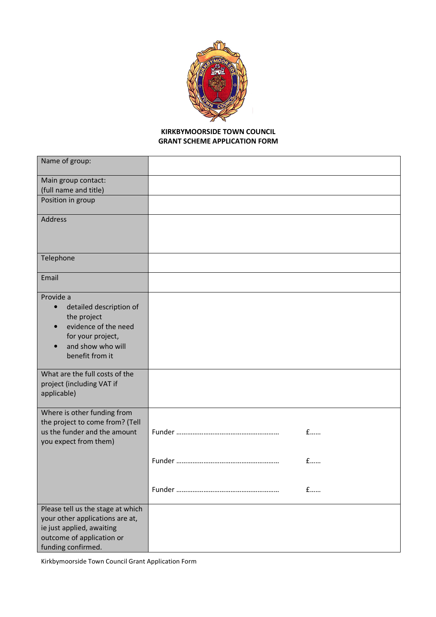

## **KIRKBYMOORSIDE TOWN COUNCIL GRANT SCHEME APPLICATION FORM**

| Name of group:                         |     |
|----------------------------------------|-----|
| Main group contact:                    |     |
| (full name and title)                  |     |
| Position in group                      |     |
| <b>Address</b>                         |     |
|                                        |     |
| Telephone                              |     |
| Email                                  |     |
| Provide a                              |     |
| detailed description of<br>$\bullet$   |     |
| the project                            |     |
| evidence of the need                   |     |
| for your project,<br>and show who will |     |
| benefit from it                        |     |
|                                        |     |
| What are the full costs of the         |     |
| project (including VAT if              |     |
| applicable)                            |     |
| Where is other funding from            |     |
| the project to come from? (Tell        |     |
| us the funder and the amount           | $f$ |
| you expect from them)                  |     |
|                                        | $f$ |
|                                        |     |
|                                        |     |
|                                        | £   |
| Please tell us the stage at which      |     |
| your other applications are at,        |     |
| ie just applied, awaiting              |     |
| outcome of application or              |     |
| funding confirmed.                     |     |

Kirkbymoorside Town Council Grant Application Form